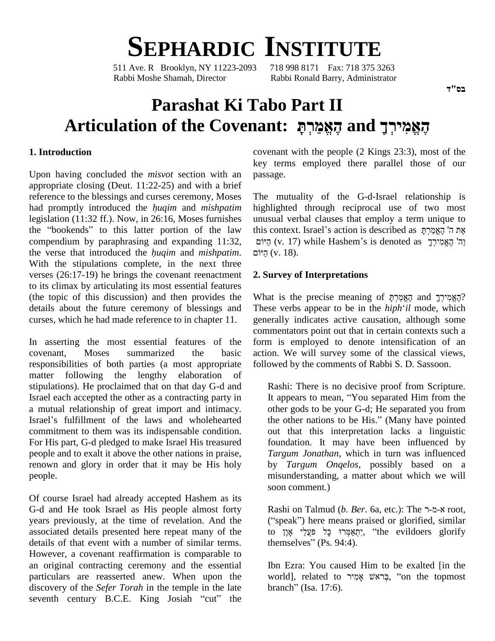# **SEPHARDIC INSTITUTE**<br>Ave. R Brooklyn. NY 11223-2093 718 998 8171 Fax: 718 375 3263

511 Ave. R Brooklyn, NY 11223-2093 Rabbi Moshe Shamah, Director Rabbi Ronald Barry, Administrator

## **Parashat Ki Tabo Part II Articulation of the Covenant: ˢʕʸʍʮʔʠʎʤʓ and ʪʕʸʍʩʮʑʠʎʤʓ**

### **1. Introduction**

Upon having concluded the *misvot* section with an appropriate closing (Deut. 11:22-25) and with a brief<br>reference to the blessings and curses ceremony, Moses The mutt<br>had promptly introduced the *huqim* and *mishpatim* highlighte reference to the blessings and curses ceremony, Moses legislation (11:32 ff.). Now, in 26:16, Moses furnishes had promptly introduced the *huqim* and *mishpatim* highlighte legislation (11:32 ff.). Now, in 26:16, Moses furnishes unusual vothe "bookends" to this latter portion of the law this context compendium by paraphrasing and expanding 11:32, the "bookends" to this latter portion of the law the compendium by paraphrasing and expanding 11:32, the verse that introduced the *huqim* and *mishpatim*. With the stipulations complete, in the next three verses (26:17-19) he brings the covenant reenactment to its climax by articulating its most essential features (the topic of this discussion) and then provides the details about the future ceremony of blessings and curses, which he had made reference to in chapter 11.

In asserting the most essential features of the covenant, Moses summarized the basic responsibilities of both parties (a most appropriate matter following the lengthy elaboration of stipulations). He proclaimed that on that day G-d and Israel each accepted the other as a contracting party in a mutual relationship of great import and intimacy. Israel each accepted the other as a contracting party in It<br>a mutual relationship of great import and intimacy. other<br>Israel's fulfillment of the laws and wholehearted the commitment to them was its indispensable condition. For His part, G-d pledged to make Israel His treasured people and to exalt it above the other nations in praise, renown and glory in order that it may be His holy people.

Of course Israel had already accepted Hashem as its G-d and He took Israel as His people almost forty years previously, at the time of revelation. And the associated details presented here repeat many of the details of that event with a number of similar terms. However, a covenant reaffirmation is comparable to an original contracting ceremony and the essential particulars are reasserted anew. When upon the discovery of the *Sefer Torah* in the temple in the late particulars are reasserted anew. When upon the<br>discovery of the *Sefer Torah* in the temple in the late<br>seventh century B.C.E. King Josiah "cut" the

covenant with the people (2 Kings 23:3), most of the key terms employed there parallel those of our passage.

The mutuality of the G-d-Israel relationship is highlighted through reciprocal use of two most<br>unusual verbal clauses that employ a term unique to<br>את ה' האמרת את ה' האמרת unusual verbal clauses that employ a term unique to highlighted through reciprocal use of two most<br>unusual verbal clauses that employ a term unique to<br>this context. Israel's action is described as אֶת ה' הָאֱמַרְהָּ hal verbal clauses that employ a term unique to<br>אֶת ה' הֶאֱמַרְתָּ action is described as אֶת ה' הֶאֱמַרְתָּ<br>(v. 17) while Hashem's is denoted as יֲהַי הֶאֱמִירְךָ this היוֹם (v. 18).

### **2. Survey of Interpretations**

What is the precise meaning of הֻאֱמִירְךָ $\alpha$ and הָאֱמַרְתָּ These verbs appear to be in the *hiph*ë*il* mode, which generally indicates active causation, although some commentators point out that in certain contexts such a form is employed to denote intensification of an action. We will survey some of the classical views, followed by the comments of Rabbi S. D. Sassoon.

Rashi: There is no decisive proof from Scripture. Rashi: There is no decisive proof from Scripture.<br>It appears to mean, "You separated Him from the other gods to be your G-d; He separated you from It appears to mean, "You separated Him from the<br>other gods to be your G-d; He separated you from<br>the other nations to be His." (Many have pointed out that this interpretation lacks a linguistic foundation. It may have been influenced by *Targum Jonathan*, which in turn was influenced by *Targum Onqelos*, possibly based on a misunderstanding, a matter about which we will soon comment.)

Rashi on Talmud (*b. Ber.* 6a, etc.): The א-מ-ר ("speak") here means praised or glorified, similar Rashi on Talmud (*b. Ber.* 6a, etc.): The א-מ-ד root,<br>("speak") here means praised or glorified, similar<br>to יִתְאַמְּרוּ כָּל פַּעֲלֵי אָוֶן, "the evildoers glorify ("speak") here means prais<br>to יִתְאַמְּרוּ כָּל פּעֲלֵי אָוֶן,<br>themselves" (Ps. 94:4).

Ibn Ezra: You caused Him to be exalted [in the Ibn Ezra: You caused Him to be exalted [in the<br>world], related to בְּראשׁ אָמִיר, "on the topmost fbn Ezra: You caused<br>world], related to אָמְיר<br>branch" (Isa. 17:6).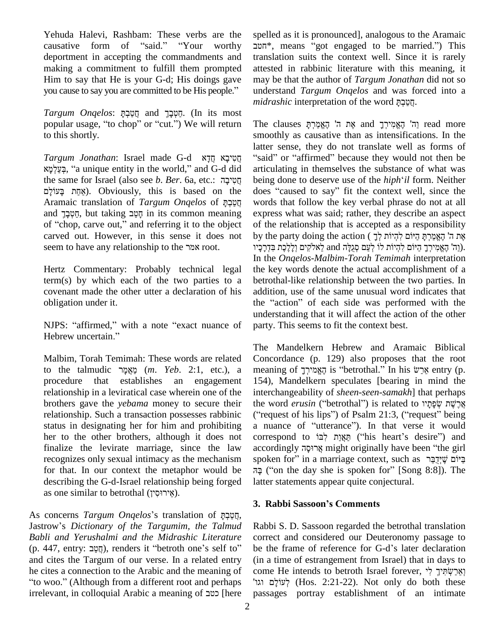Yehuda Halevi, Rashbam: These verbs are the spelle Fehuda Halevi, Rashbam: These verbs are the spelled<br>causative form of "said." "Your worthy ביהשב", deportment in accepting the commandments and making a commitment to fulfill them prompted Him to say that He is your G-d; His doings gave may making a commitment to fulfill them prompted attes<br>Him to say that He is your G-d; His doings gave may<br>you cause to say you are committed to be His people." unde you cause to say you are committed to be His people."<br>*Targum Onqelos*: הטבך and תּמבך (In its most

popular usage, "to chop" or "cut.") We will return to this shortly.

*Targum Jonathan*: Israel made G-d ʠʣʕʧʏ ʠʡʕʩʨʑʧʏ ʠʮʕʬʍʲʔˎʍ, <sup>ì</sup><sup>a</sup> unique entity in the world,<sup>î</sup> and G-d did a unique entity in the world," and G-d did<br>
ne for Israel (also see *b. Ber.* 6a, etc.: הֲמָיכָה being<br>
Obviously, this is based on the does fhe same for Israel (also see *b. Ber.* 6a, etc.: תְּטִיבָה bei<br>(אַחַת בָּעוֹלָם). Obviously, this is based on the doo<br>מְטַרָהָּ pֲמַרָהָּ wo פּעוֹלָם בָּעוֹלָם (אַחַת בָּעוֹלָם Obviously, this is based on the does<br>Aramaic translation of *Targum Onqelos* of מַטְבָּף words<br>and מִטְבָּךָ, but taking מָטֵב in its common meaning expres Aramaic translation of *Targum Onqelos* of הַטֲבָהָ<br>and הטב, but taking *הטב* in its common meaning carved out. However, in this sense it does not of "chop, carve out," and referring it to the object carved out. However, in this sense it does not seem to have any relationship to the מבר

Hertz Commentary: Probably technical legal term(s) by which each of the two parties to a covenant made the other utter a declaration of his obligation under it. obligation under it.<br>
WIPS: "affirmed," with a note "exact nuance of part

NJPS: "affirmed," with a<br>Hebrew uncertain."

Malbim, Torah Temimah: These words are related procedure that establishes an engagement relationship in a leviratical case wherein one of the status in designating her for him and prohibiting her to the other brothers, although it does not for that. In our context the metaphor would be  $\bar{n}$ בָּה ("describing the G-d-Israel relationship being forged latter as one similar to betrothal (אֱיְרוּסִין). describing the G-d-Israel relationship being forged

as one similar to betrothal (אֵירוּסִין).<br>As concerns *Targum Onqelos*'s translation of מֲמַרָהָ, Jastrowí<sup>s</sup> *Dictionary of the Targumim, the Talmud Babli and Yerushalmi and the Midrashic Literature* Jastrow's *Dictionary of the Targumim, the Talmud* Rabbi S. D. Sassoon regarded the betrothal translation *Babli and Yerushalmi and the Midrashic Literature* correct and considered our Deuteronomy passage to (p. 447, entr and cites the Targum of our verse. In a related entry and cites the Targum of our verse. In a related entry (in a<br>he cites a connection to the Arabic and the meaning of com<br>"וגו" (Although from a different root and perhaps" he cites a connection to the Arabic and the meaning of come<br>"ito woo." (Although from a different root and perhaps "נאל"<br>irrelevant, in colloquial Arabic a meaning of כטב [here passa]

spelled as it is pronounced], analogous to the Aramaic \*, means <sup>ì</sup>got engaged to be married.î) This translation suits the context well. Since it is rarely attested in rabbinic literature with this meaning, it may be that the author of *Targum Jonathan* did not so understand *Targum Onqelos* and was forced into a may be that the author of *Targum Jonathan* di<br>understand *Targum Onqelos* and was forced<br>*midrashic* interpretation of the word חֲטַבְקָ  $midrashic$  interpretation of the word וַקַטֲבְתָּ.<br>The clauses הֶאֱמִירְךָ and אֶת ה' הֶאֱמִירְתָּ on of the word הטבח.

the same for Israel (also see *b. Ber.* 6a, etc.: הָטִיבָה being done to deserve use of the *hiph'il* form. Neither smoothly as causative than as intensifications. In the latter sense, they do not translate well as forms of moothly as causative than as intensifications. In the atter sense, they do not translate well as forms of said" or "affirmed" because they would not then be articulating in themselves the substance of what was being done to deserve use of the *hiph'il* form. Neither does "caused to say" fit the context well, since the "said" or "affirmed" because they would not then be articulating in themselves the substance of what was being done to deserve use of the *hiph*<sup>\*</sup>*il* form. Neither words that follow the key verbal phrase do not at all express what was said; rather, they describe an aspect<br>of the relationship that is accepted as a responsibility<br>את ה' האמרת היום להיות לר of the relationship that is accepted as a responsibility express what was said; rather, they describe an aspect<br>of the relationship that is accepted as a responsibility<br>by the party doing the action ( אֶת ה' הֶאֱמַרְתָּ הַיּוֹם לְהָיוֹת לְדָ relationship that is accepted as a responsibility<br>אֶת ה' הֶאֱמַּרְתָּ הַיּוֹם לְהְיוֹת לְךָ<br>נְיוֹת לוֹ לְעַם סְגֵלָּה and לֵאלֹקִים וְלָלָכֶת (נִה' הָאֱמִירְךָ הַיּוֹם לִהְיוֹת לוֹ וה' הַאֱמִירֵך היּוֹם לְהִיוֹת לוֹ לְעַם סְגִלָּה and לְאלֹקִים וַלְלָכֶת בַּדְרכִיו). In the *Onqelos-Malbim-Torah Temimah* interpretation the key words denote the actual accomplishment of a betrothal-like relationship between the two parties. In addition, use of the same unusual word indicates that the "action" of each side was performed with the understanding that it will affect the action of the other party. This seems to fit the context best.

to the talmudic אֲכֵא (m. Yeb. 2:1, etc.), a meaning of הָאֱמירְךָ is "betrothal." In his אֲכֵשׁ entry (p. brothers gave the *yebama* money to secure their relationship. Such a transaction possesses rabbinic ("request of his lips") of Psalm 21:3, ("request" being finalize the levirate marriage, since the law recognizes only sexual intimacy as the mechanism The Mandelkern Hebrew and Aramaic Biblical Concordance (p. 129) also proposes that the root The Mandelkern Hebrew and Aramaic Biblical<br>Concordance (p. 129) also proposes that the root<br>meaning of  $\overline{y}$ אֲרַשׁ is "betrothal." In his  $\overline{y}$  entry (p. 154), Mandelkern speculates [bearing in mind the interchangeability of *sheen-seen-samakh*] that perhaps the word *erusin* (bearing in mind the interchangeability of *sheen-seen-samakh*] that perhaps<br>the word *erusin* ("betrothal") is related to אֲרָשֶׁת שְׂפָתָּיו interchangeability of *sheen-seen-samakh*] that perhaps<br>the word *erusin* ("betrothal") is related to אֲרֶשֶׁת שְׂפָתָיו<br>("request of his lips") of Psalm 21:3, ("request" being the word *erusin* ("betrothal") is related to אֲרָשֶׁת שְׂפָתָיו ("request of his lips") of Psalm 21:3, ("request" being<br>a nuance of "utterance"). In that verse it would correquest of his lips") of Psalm 21:3, ("request" being<br>a nuance of "utterance"). In that verse it would<br>correspond to פְּאֲוַת לְבּוֹ ("his heart's desire") and a nuance of "utterance"). In that verse it would<br>correspond to מַאֲוַת לְבּוֹ ("his heart's desire") and<br>accordingly אֲרוּסָה might originally have been "the girl correspond to *in main* ("his heart's desire") and (ìon the day she is spoken for<sup>î</sup> [Song 8:8]). The latter statements appear quite conjectural. **3. Rabbi Sassoonís Comments**

Rabbi S. D. Sassoon regarded the betrothal translation correct and considered our Deuteronomy passage to Rabbi S. D. Sassoon regarded the betrothal translation<br>correct and considered our Deuteronomy passage to<br>be the frame of reference for G-d's later declaration (in a time of estrangement from Israel) that in days to ʥʢʥcome He intends to betroth Israel forever, וְאֵרָשׂתִּיךָ לִי ʭʬʕˣʲʬʍ (Hos. 2:21-22). Not only do both these passages portray establishment of an intimate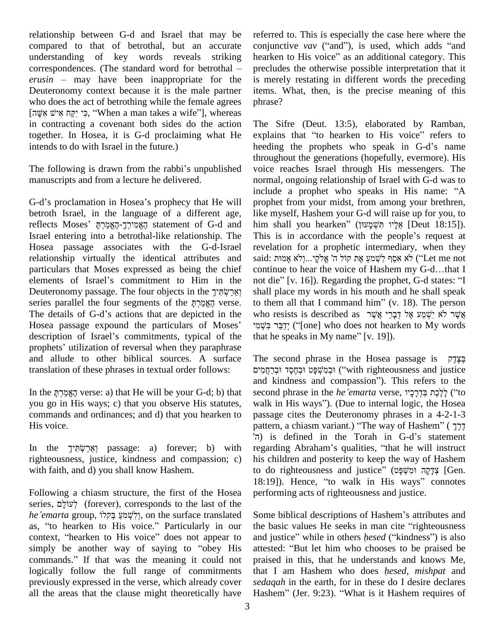relationship between G-d and Israel that may be compared to that of betrothal, but an accurate conjured understanding of key words reveals striking hearked correspondences. (The standard word for betrothal – preclu understanding of key words reveals striking hearken to His voice" as an additional category. This correspondences. (The standard word for betrothal – *erusin* – may have been inappropriate for the Deuteronomy context because it is the male partner item<br>who does the act of betrothing while the female agrees phra<br>י, כִּי יִקֵּח אִישׁ אִשָּׂה], whereas who does the act of betrothing while the female agrees in contracting a covenant both sides do the action together. In Hosea, it is G-d proclaiming what He intends to do with Israel in the future.)

manuscripts and from a lecture he delivered.

G-d's proclamation in Hosea's prophecy that He will betroth Israel, in the language of a different age, G-d's proclamation in Hosea's prophecy that He will prophectroth Israel, in the language of a different age, like m<br>reflects Moses'  $\frac{1}{2}$ הֶאֱמִירְךָ-הֶאֱמַרְתָּ Israel entering into a betrothal-like relationship. The Hosea passage associates with the G-d-Israel relationship virtually the identical attributes and particulars that Moses expressed as being the chief continue to hear the voice of Hashem my G-d...that I relationship virtually the identical attributes and said:<br>particulars that Moses expressed as being the chief conti-<br>elements of Israel's commitment to Him in the not d particulars that Moses expressed as being the chief condenents of Israel's commitment to Him in the no<br>Deuteronomy passage. The four objects in the הְאֲרָשְׂמִיךָ elements of Israel's commitment to Him in the neuteronomy passage. The four objects in the Țְאֲרָשְׂתִּיךָ shows series parallel the four segments of the מָאֱמַרְתָּ Peuteronomy passage. The four objects in the וְאֵרַשְׂתִּיךָ series parallel the four segments of the וְאֲמַרְתָּ series parallel the four segments of the הֻאֱמַּרְהָּ verse. to them all that I command him" (v. 18). The person<br>Hosea passage expound the particulars of Moses' יִדְּבַּר אֲשֶׁר לֹא יִשְׁמַע אֶל קִבָּרֵי אֲשֶׁר לֹא יִשְׁמ description of Israel's commitments, typical of the that he speaks in My name"  $[v, 19]$ . prophets' utilization of reversal when they paraphrase and allude to other biblical sources. A surface translation of these phrases in textual order follows:

you go in His ways; c) that you observe His statutes, commands and ordinances; and d) that you hearken to His voice.

righteousness, justice, kindness and compassion; c) with faith, and d) you shall know Hashem.

Following a chiasm structure, the first of the Hosea 18:19<br>Following a chiasm structure, the first of the Hosea perfo<br>series, לְעוֹלָם (forever), corresponds to the last of the Following a chiasm structure, the first of the Hosea perfor<br>series, לְעוֹלָם (forever), corresponds to the last of the<br>*he* '*emarta* group, לִישְׁמַעַּ בְּקלוֹ, on the surface translated Some series, לְעוֹלָם (forever), corresponds to the last of the<br> *he'emarta* group, לִישְׁמַעַ בְּקלוֹ, on the surface translated Son<br>
as, "to hearken to His voice." Particularly in our the he'emarta group, וְלִישְׁמַעַ בְּקוֹלוֹ, on the surface translated Some biblical descriptions of Hashem's attributes and as, "to hearken to His voice." Particularly in our the basic values He seeks in man cite "righteousn as, "to hearken to His voice." Particularly in our the basic values He seeks in man cite "righteousness context, "hearken to His voice" does not appear to and justice" while in others *hesed* ("kindness") is also simply be commands." If that was the meaning it could not logically follow the full range of commitments previously expressed in the verse, which already cover all the areas that the clause might theoretically have

referred to. This is especially the case here where the referred to. This is especially the case here where the conjunctive *vav* ("and"), is used, which adds "and referred to. This is especially the case here where the conjunctive *vav* ("and"), is used, which adds "and hearken to His voice" as an additional category. This precludes the otherwise possible interpretation that it is merely restating in different words the preceding items. What, then, is the precise meaning of this phrase?

intends to do with Israel in the future.) beeding the prophets who speak in G-d's name<br>throughout the generations (hopefully, evermore). His<br>The following is drawn from the rabbi's unpublished voice reaches Israel through The Sifre (Deut. 13:5), elaborated by Ramban, -<br>The Sifre (Deut. 13:5), elaborated by Ramban,<br>explains that "to hearken to His voice" refers to The Sifre (Deut. 13:5), elaborated by Ramban,<br>explains that "to hearken to His voice" refers to<br>heeding the prophets who speak in G-d's name throughout the generations (hopefully, evermore). His voice reaches Israel through His messengers. The normal, ongoing relationship of Israel with G-d was to include a prophet who speaks in His name: "A prophet from your midst, from among your brethren,<br>like myself, Hashem your G-d will raise up for you, to<br>אֱלָיו תִּשְׁמָעוּן (Deut 18:15]). like myself, Hashem your G-d will raise up for you, to This is in accordance with the peopleí<sup>s</sup> request at revelation for a prophetic intermediary, when they This is in accordance with the people's request at revelation for a prophetic intermediary, when they said: אַמָּר יִלְאֵ שׁמַה קִיּשְׁמַעַּ אֶת קוֹל ה' אֱלֹקֱי...וְלָא אָמוּת (Let me not This is in accordance with the people's request at revelation for a prophetic intermediary, when they said: אֵמִית יִלְאֵלקָי<br>ה'אָ אָמֵן לִשְׁמַעַ אֶת קוֹל ה' אֱלֹקָי...וְלֹא אָמוּת ("Let me not continue to hear the voice of Hashem my G-d…that I said: אַמִּרְ יִלְשְׁמַעַ אֶת קוֹל ה' אֱלִקָּי...וְלֹא אָמוּת ("Let me not continue to hear the voice of Hashem my G-d…that I<br>not die" [v. 16]). Regarding the prophet, G-d states: "I shall place my words in his mouth and he shall speak not die" [v. 16]). Regarding the prophet, G-d states: "I shall place my words in his mouth and he shall speak<br>to them all that I command him" (v. 18). The person<br>who resists is described as שָּׂעֵי לִיאֲמַע אֶל דְּבָרֵי אֱשֶׁר to them all that I command him" (v. 18). The person<br>who resists is described as אֲשֶׁר לֹא יִשְׁמַע אֶל דְּבָרָי אֲשֶׁר<br>יְדַבֵּר בִּשְׁמִי? ("[one] who does not hearken to My words who resists is described as אשר לא ישמע אל דברי אשר

In the לֵכֶת בּדְרכיו verse: a) that He will be your G-d; b) that second phrase in the he'emarta verse, הַאֱמִרְתּ His voice.<br>
In the 
passage: a) forever; b) with regarding Abraham's qualities, "that he will instruct<br>
In the 
[אֲרָשׂתִּיך passage: a) forever; b) with regarding Abraham's qualities, "that he will instruct The second phrase in the Hosea passage is  $\vec{r}$ יִבְמִעְפָּט וּבְחֱסֶד וּבְרַחֲמִים ("with righteousness and justice and kindness and compassionî). This refers to the ּוּבְמִשְׁפָּט<sup>ְ</sup>וּבְמֶשֶׁדָּ וּבְרַחֲמִים ("with righteousness and justice and kindness and compassion"). This refers to the second phrase in the *he emarta* verse, בְּדְרָכָיו and kindness and compassion"). This refers to the second phrase in the *he'emarta* verse, בְּדְרָכָיו ("to walk in His ways"). (Due to internal logic, the Hosea passage cites the Deuteronomy phrases in a 4-2-1-3 walk in His ways"). (Due to internal logic, the Hosea<br>passage cites the Deuteronomy phrases in a 4-2-1-3<br>pattern, a chiasm variant.) "The way of Hashem" ( הָרֶךָ ı passage cites the Deuteronomy phrases in a 4-2-1-3<br>pattern, a chiasm variant.) "The way of Hashem" (הֶךֶ<br>is defined in the Torah in G-d's statement Franchies (היבר) ("The way of Hashem" (הָלֶךְ) is defined in the Torah in G-d's statement<br>regarding Abraham's qualities, "that he will instruct his children and posterity to keep the way of Hashem tegarding Abraham's qualities, "that he will instruct<br>his children and posterity to keep the way of Hashem<br>to do righteousness and justice" (יִקְהּ וּמִשְׁפָּט [Gen. to do righteousness and justice" (מִשְׁפָּט [Gen. 18:19]). Hence, "to walk in His ways" connotes performing acts of righteousness and justice.<br>Some biblical descriptions of Hashem's attributes and

Some biblical descriptions of Hashem's attributes and<br>the basic values He seeks in man cite "righteousness Some biblical descriptions of Hashem's attributes and<br>the basic values He seeks in man cite "righteousness<br>and justice" while in others *hesed* ("kindness") is also the basic values He seeks in man cite "righteousness<br>and justice" while in others *hesed* ("kindness") is also<br>attested: "But let him who chooses to be praised be praised in this, that he understands and knows Me, that <sup>I</sup> am Hashem who does *<sup>h</sup>esed*, *mishpat* and *sedaqah* in the earth, for in these do I desire declares Hashem" (Jer. 9:23). "What is it Hashem requires of